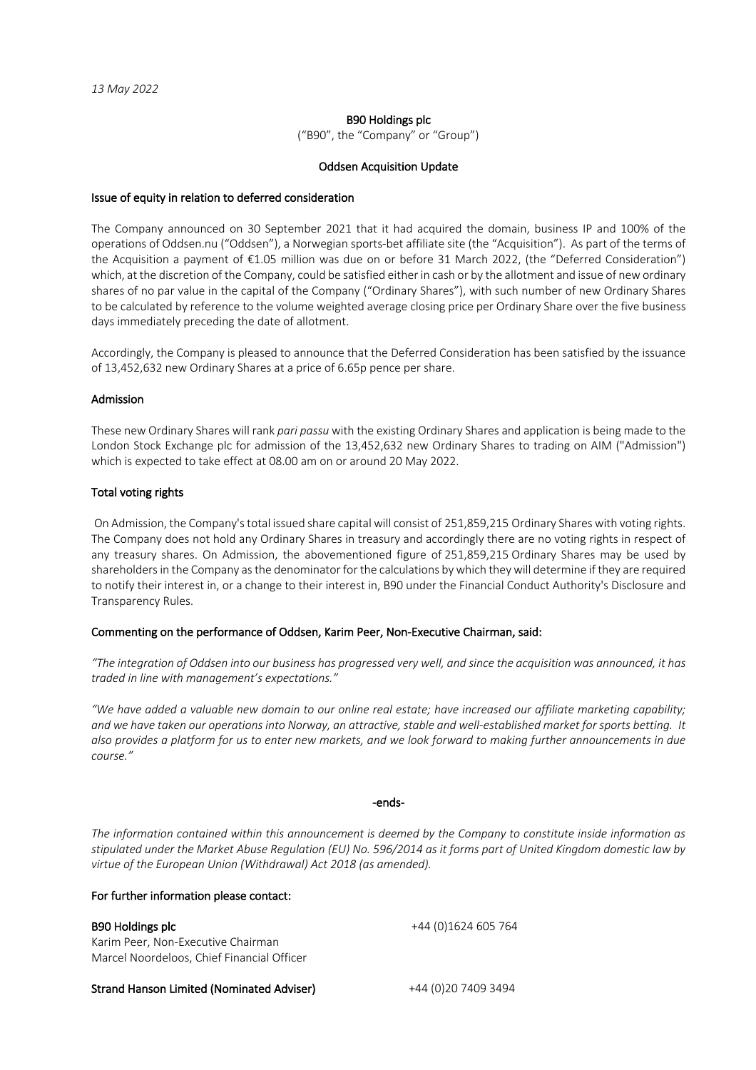#### B90 Holdings plc

("B90", the "Company" or "Group")

#### Oddsen Acquisition Update

#### Issue of equity in relation to deferred consideration

The Company announced on 30 September 2021 that it had acquired the domain, business IP and 100% of the operations of Oddsen.nu ("Oddsen"), a Norwegian sports-bet affiliate site (the "Acquisition"). As part of the terms of the Acquisition a payment of €1.05 million was due on or before 31 March 2022, (the "Deferred Consideration") which, at the discretion of the Company, could be satisfied either in cash or by the allotment and issue of new ordinary shares of no par value in the capital of the Company ("Ordinary Shares"), with such number of new Ordinary Shares to be calculated by reference to the volume weighted average closing price per Ordinary Share over the five business days immediately preceding the date of allotment.

Accordingly, the Company is pleased to announce that the Deferred Consideration has been satisfied by the issuance of 13,452,632 new Ordinary Shares at a price of 6.65p pence per share.

#### Admission

These new Ordinary Shares will rank *pari passu* with the existing Ordinary Shares and application is being made to the London Stock Exchange plc for admission of the 13,452,632 new Ordinary Shares to trading on AIM ("Admission") which is expected to take effect at 08.00 am on or around 20 May 2022.

#### Total voting rights

On Admission, the Company's total issued share capital will consist of 251,859,215 Ordinary Shares with voting rights. The Company does not hold any Ordinary Shares in treasury and accordingly there are no voting rights in respect of any treasury shares. On Admission, the abovementioned figure of 251,859,215 Ordinary Shares may be used by shareholders in the Company as the denominator for the calculations by which they will determine if they are required to notify their interest in, or a change to their interest in, B90 under the Financial Conduct Authority's Disclosure and Transparency Rules.

#### Commenting on the performance of Oddsen, Karim Peer, Non-Executive Chairman, said:

*"The integration of Oddsen into our business has progressed very well, and since the acquisition was announced, it has traded in line with management's expectations."*

*"We have added a valuable new domain to our online real estate; have increased our affiliate marketing capability; and we have taken our operations into Norway, an attractive, stable and well-established market for sports betting. It also provides a platform for us to enter new markets, and we look forward to making further announcements in due course."*

#### -ends-

*The information contained within this announcement is deemed by the Company to constitute inside information as stipulated under the Market Abuse Regulation (EU) No. 596/2014 as it forms part of United Kingdom domestic law by virtue of the European Union (Withdrawal) Act 2018 (as amended).*

#### For further information please contact:

B90 Holdings plc  $+44 (0)1624 605 764$ Karim Peer, Non-Executive Chairman Marcel Noordeloos, Chief Financial Officer

Strand Hanson Limited (Nominated Adviser) +44 (0)20 7409 3494